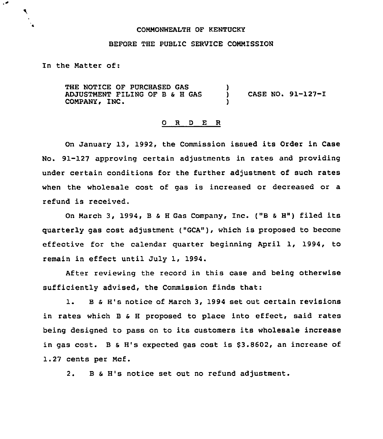### COMMONWEALTH OF KENTUCKY

# BEFORE THE PUBLIC SERVICE COMMISSION

In the Matter of:

۰.

۹.

THE NOTICE OF PURCHASED GAS ADJUSTMENT FILING OF B & H GAS COMPANY, INC. )<br>) ) CASE NO. 91-127-I )

## 0 R <sup>D</sup> E R

On January 13, 1992, the Commission issued its Order in Case No. 91-127 approving certain adjustments in rates and providing under certain conditions for the further adjustment of such rates when the wholesale cost of gas is increased or decreased or a refund is received.

On March 3, 1994, B & H Gas Company, Inc. ("B & H") filed its quarterly gas cost adjustment ("GCA"), which is proposed to become effective for the calendar quarter beginning April 1, 1994, to remain in effect until July 1, 1994.

After reviewing the record in this case and being otherwise sufficiently advised, the Commission finds that:

1. B & H's notice of March 3, 1994 set out certain revisions in rates which B & H proposed to place into effect, said rates being designed to pass on to its customers its wholesale increase in gas cost. B & H's expected gas cost is  $$3.8602$ , an increase of 1.27 cents per Mcf.

2. B <sup>S</sup> H's notice set out no refund adjustment.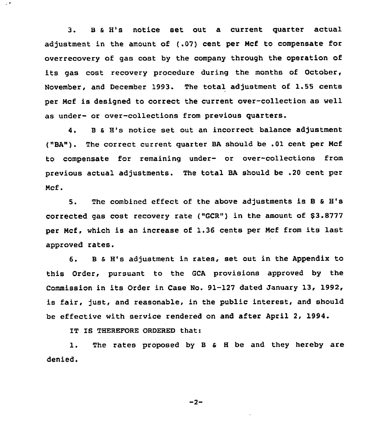3. <sup>B</sup> <sup>0</sup> 8's notice set out <sup>a</sup> current quarter actual adjustment in the amount of (.07) cent per Ncf to compensate for overrecovery of gas cost by the company through the operation of its gas cost recovery procedure during the months of October, November, and December 1993. The total adjustment of 1.55 cents per Ncf is designed to correct the current over-collection as well as under- or over-collections from previous quarters.

4. <sup>B</sup> s H's notice set out an incorrect balance adjustment ("BA"). The correct current quarter BA should be .01 cent per Ncf to compensate for remaining under- or over-collections from previous actual adjustments. The total BA should be .20 cent per Ncf .

5. The combined effect of the above adjustments is B & H's corrected gas cost recovery rate ("GCR") in the amount of  $$3.8777$ per Ncf, which is an increase of 1.36 cents per Ncf from its last approved rates.

6. <sup>B</sup> <sup>0</sup> H's adjustment in rates, set out in the Appendix to this Order, pursuant to the GCA provisions approved by the Commission in its Order in Case Mo. 91-127 dated January 13, 1992, is fair, just, and reasonable, in the public interest, and should be effective with service rendered on and after April 2, 1994.

IT IS THEREFORE ORDERED that:

 $\mathcal{L}^{\bullet}$ 

1. The rates proposed by <sup>B</sup> <sup>a</sup> <sup>H</sup> be and they hereby are denied.

 $-2-$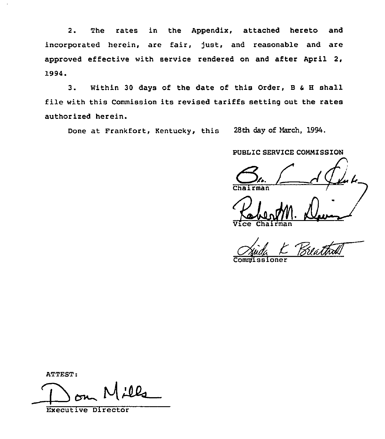2. The rates in the Appendix, attached hereto and incorporated herein, are fair, just, and reasonable and are approved effective with service rendered on and after April 2, 1994.

3. Within <sup>30</sup> days of the date of this Order, <sup>B</sup> & <sup>H</sup> shall file with this Commission its revised tariffs setting out the rates authorized herein.

Done at Frankfort, Kentucky, this 28th day of March, 1994.

PUBLIC SERVICE CONNISSION

rman

Vice Chairma

Commissione

ATTEST:

 $100$  $\overline{\phantom{a}}$ 

Executive Director